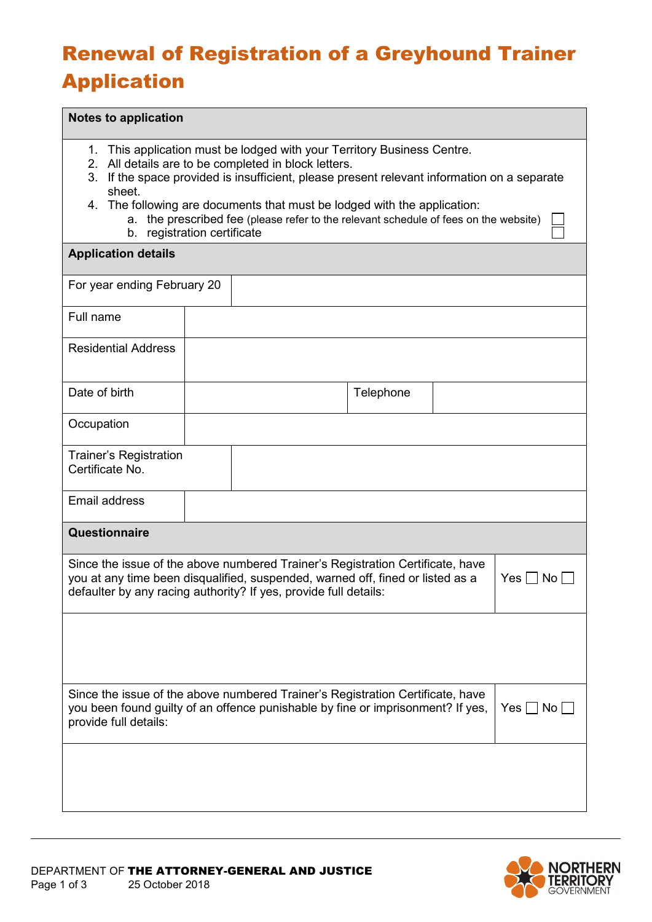# Renewal of Registration of a Greyhound Trainer Application

#### **Notes to application**

- 1. This application must be lodged with your Territory Business Centre.
- 2. All details are to be completed in block letters.
- 3. If the space provided is insufficient, please present relevant information on a separate sheet.
- 4. The following are documents that must be lodged with the application:
	- a. the prescribed fee (please refer to the relevant schedule of fees on the website) b. registration certificate

#### **Application details**

| For year ending February 20                                                                                                                                                                                                                                |  |  |           |  |  |  |
|------------------------------------------------------------------------------------------------------------------------------------------------------------------------------------------------------------------------------------------------------------|--|--|-----------|--|--|--|
| Full name                                                                                                                                                                                                                                                  |  |  |           |  |  |  |
| <b>Residential Address</b>                                                                                                                                                                                                                                 |  |  |           |  |  |  |
| Date of birth                                                                                                                                                                                                                                              |  |  | Telephone |  |  |  |
| Occupation                                                                                                                                                                                                                                                 |  |  |           |  |  |  |
| <b>Trainer's Registration</b><br>Certificate No.                                                                                                                                                                                                           |  |  |           |  |  |  |
| Email address                                                                                                                                                                                                                                              |  |  |           |  |  |  |
| Questionnaire                                                                                                                                                                                                                                              |  |  |           |  |  |  |
| Since the issue of the above numbered Trainer's Registration Certificate, have<br>you at any time been disqualified, suspended, warned off, fined or listed as a<br>$Yes \Box No \Box$<br>defaulter by any racing authority? If yes, provide full details: |  |  |           |  |  |  |
|                                                                                                                                                                                                                                                            |  |  |           |  |  |  |
|                                                                                                                                                                                                                                                            |  |  |           |  |  |  |
| Since the issue of the above numbered Trainer's Registration Certificate, have<br>you been found guilty of an offence punishable by fine or imprisonment? If yes,<br>Yes $\Box$ No $\Box$<br>provide full details:                                         |  |  |           |  |  |  |
|                                                                                                                                                                                                                                                            |  |  |           |  |  |  |
|                                                                                                                                                                                                                                                            |  |  |           |  |  |  |
|                                                                                                                                                                                                                                                            |  |  |           |  |  |  |

 $\Box$  $\Box$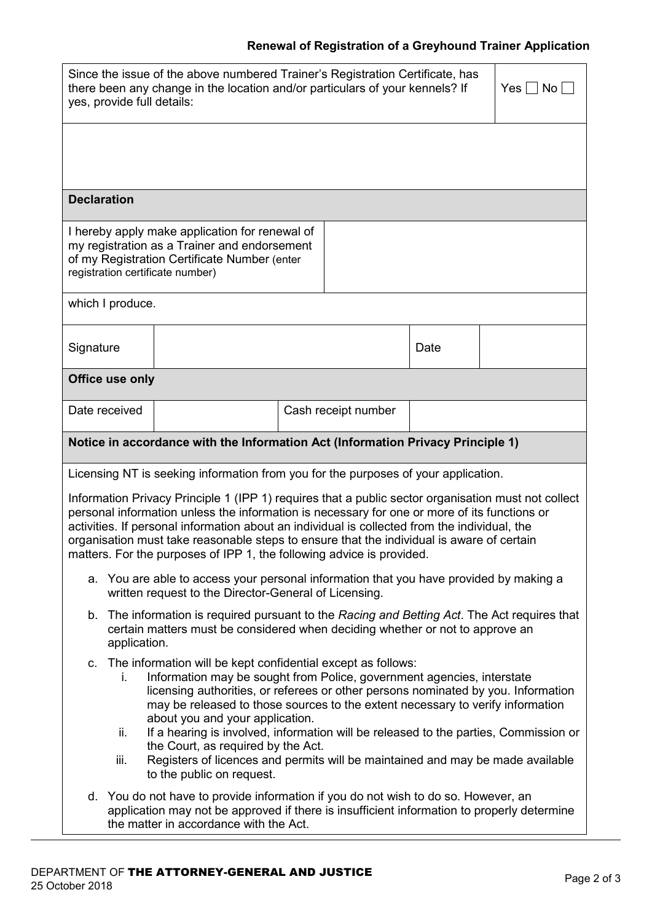## **Renewal of Registration of a Greyhound Trainer Application**

| Since the issue of the above numbered Trainer's Registration Certificate, has<br>there been any change in the location and/or particulars of your kennels? If<br>$Yes \Box No \Box$<br>yes, provide full details:                                                                                                                                                                                                                                                                                                                                                                                                                                                                                                   |  |                     |  |      |  |  |  |  |
|---------------------------------------------------------------------------------------------------------------------------------------------------------------------------------------------------------------------------------------------------------------------------------------------------------------------------------------------------------------------------------------------------------------------------------------------------------------------------------------------------------------------------------------------------------------------------------------------------------------------------------------------------------------------------------------------------------------------|--|---------------------|--|------|--|--|--|--|
|                                                                                                                                                                                                                                                                                                                                                                                                                                                                                                                                                                                                                                                                                                                     |  |                     |  |      |  |  |  |  |
| <b>Declaration</b>                                                                                                                                                                                                                                                                                                                                                                                                                                                                                                                                                                                                                                                                                                  |  |                     |  |      |  |  |  |  |
| I hereby apply make application for renewal of<br>my registration as a Trainer and endorsement<br>of my Registration Certificate Number (enter<br>registration certificate number)                                                                                                                                                                                                                                                                                                                                                                                                                                                                                                                                  |  |                     |  |      |  |  |  |  |
| which I produce.                                                                                                                                                                                                                                                                                                                                                                                                                                                                                                                                                                                                                                                                                                    |  |                     |  |      |  |  |  |  |
| Signature                                                                                                                                                                                                                                                                                                                                                                                                                                                                                                                                                                                                                                                                                                           |  |                     |  | Date |  |  |  |  |
| Office use only                                                                                                                                                                                                                                                                                                                                                                                                                                                                                                                                                                                                                                                                                                     |  |                     |  |      |  |  |  |  |
| Date received                                                                                                                                                                                                                                                                                                                                                                                                                                                                                                                                                                                                                                                                                                       |  | Cash receipt number |  |      |  |  |  |  |
| Notice in accordance with the Information Act (Information Privacy Principle 1)                                                                                                                                                                                                                                                                                                                                                                                                                                                                                                                                                                                                                                     |  |                     |  |      |  |  |  |  |
| Licensing NT is seeking information from you for the purposes of your application.<br>Information Privacy Principle 1 (IPP 1) requires that a public sector organisation must not collect<br>personal information unless the information is necessary for one or more of its functions or<br>activities. If personal information about an individual is collected from the individual, the<br>organisation must take reasonable steps to ensure that the individual is aware of certain<br>matters. For the purposes of IPP 1, the following advice is provided.<br>a. You are able to access your personal information that you have provided by making a<br>written request to the Director-General of Licensing. |  |                     |  |      |  |  |  |  |
| The information is required pursuant to the Racing and Betting Act. The Act requires that<br>b.<br>certain matters must be considered when deciding whether or not to approve an<br>application.                                                                                                                                                                                                                                                                                                                                                                                                                                                                                                                    |  |                     |  |      |  |  |  |  |
| c. The information will be kept confidential except as follows:<br>Information may be sought from Police, government agencies, interstate<br>İ.<br>licensing authorities, or referees or other persons nominated by you. Information<br>may be released to those sources to the extent necessary to verify information<br>about you and your application.<br>If a hearing is involved, information will be released to the parties, Commission or<br>ii.<br>the Court, as required by the Act.<br>Registers of licences and permits will be maintained and may be made available<br>iii.<br>to the public on request.                                                                                               |  |                     |  |      |  |  |  |  |
| You do not have to provide information if you do not wish to do so. However, an<br>d.<br>application may not be approved if there is insufficient information to properly determine<br>the matter in accordance with the Act.                                                                                                                                                                                                                                                                                                                                                                                                                                                                                       |  |                     |  |      |  |  |  |  |